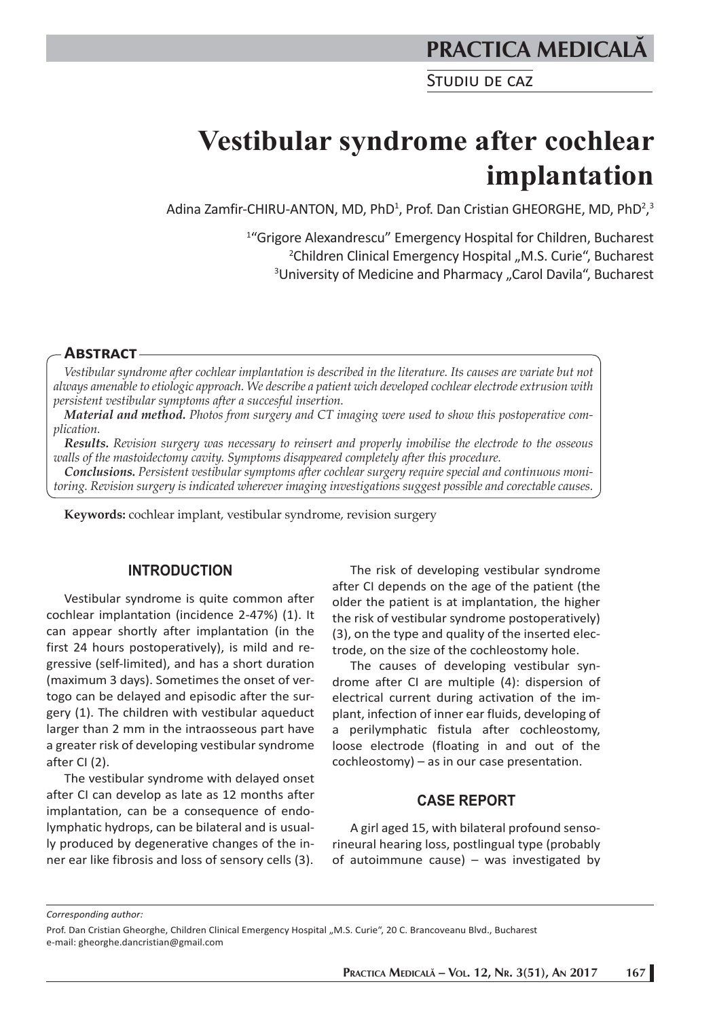# **PRACTICA MEDICALÅ**

STUDIU DE CAZ

# **Vestibular syndrome after cochlear implantation**

Adina Zamfir-CHIRU-ANTON, MD, PhD<sup>1</sup>, Prof. Dan Cristian GHEORGHE, MD, PhD<sup>2</sup>,<sup>3</sup>

<sup>1</sup>"Grigore Alexandrescu" Emergency Hospital for Children, Bucharest<br><sup>2</sup>Children Clinical Emergency Hospital M.S. Curie<sup>"</sup> Bucharest <sup>2</sup>Children Clinical Emergency Hospital "M.S. Curie", Bucharest <sup>3</sup>University of Medicine and Pharmacy "Carol Davila", Bucharest

#### **ABSTRACT**

*Vestibular syndrome after cochlear implantation is described in the literature. Its causes are variate but not always amenable to etiologic approach. We describe a patient wich developed cochlear electrode extrusion with persistent vestibular symptoms after a succesful insertion.* 

*Material and method. Photos from surgery and CT imaging were used to show this postoperative complication.* 

*Results. Revision surgery was necessary to reinsert and properly imobilise the electrode to the osseous walls of the mastoidectomy cavity. Symptoms disappeared completely after this procedure.* 

*Conclusions. Persistent vestibular symptoms after cochlear surgery require special and continuous monitoring. Revision surgery is indicated wherever imaging investigations suggest possible and corectable causes.* 

**Keywords:** cochlear implant, vestibular syndrome, revision surgery

#### **INTRODUCTION**

Vestibular syndrome is quite common after cochlear implantation (incidence 2-47%) (1). It can appear shortly after implantation (in the first 24 hours postoperatively), is mild and regressive (self-limited), and has a short duration (maximum 3 days). Sometimes the onset of vertogo can be delayed and episodic after the surgery (1). The children with vestibular aqueduct larger than 2 mm in the intraosseous part have a greater risk of developing vestibular syndrome after CI (2).

The vestibular syndrome with delayed onset after CI can develop as late as 12 months after implantation, can be a consequence of endolymphatic hydrops, can be bilateral and is usually produced by degenerative changes of the inner ear like fibrosis and loss of sensory cells (3).

The risk of developing vestibular syndrome after CI depends on the age of the patient (the older the patient is at implantation, the higher the risk of vestibular syndrome postoperatively) (3), on the type and quality of the inserted electrode, on the size of the cochleostomy hole.

The causes of developing vestibular syndrome after CI are multiple (4): dispersion of electrical current during activation of the implant, infection of inner ear fluids, developing of a perilymphatic fistula after cochleostomy, loose electrode (floating in and out of the cochleostomy) – as in our case presentation.

### **CASE REPORT**

A girl aged 15, with bilateral profound sensorineural hearing loss, postlingual type (probably of autoimmune cause) – was investigated by

*Corresponding author:* 

Prof. Dan Cristian Gheorghe, Children Clinical Emergency Hospital "M.S. Curie", 20 C. Brancoveanu Blvd., Bucharest e-mail: gheorghe.dancristian@gmail.com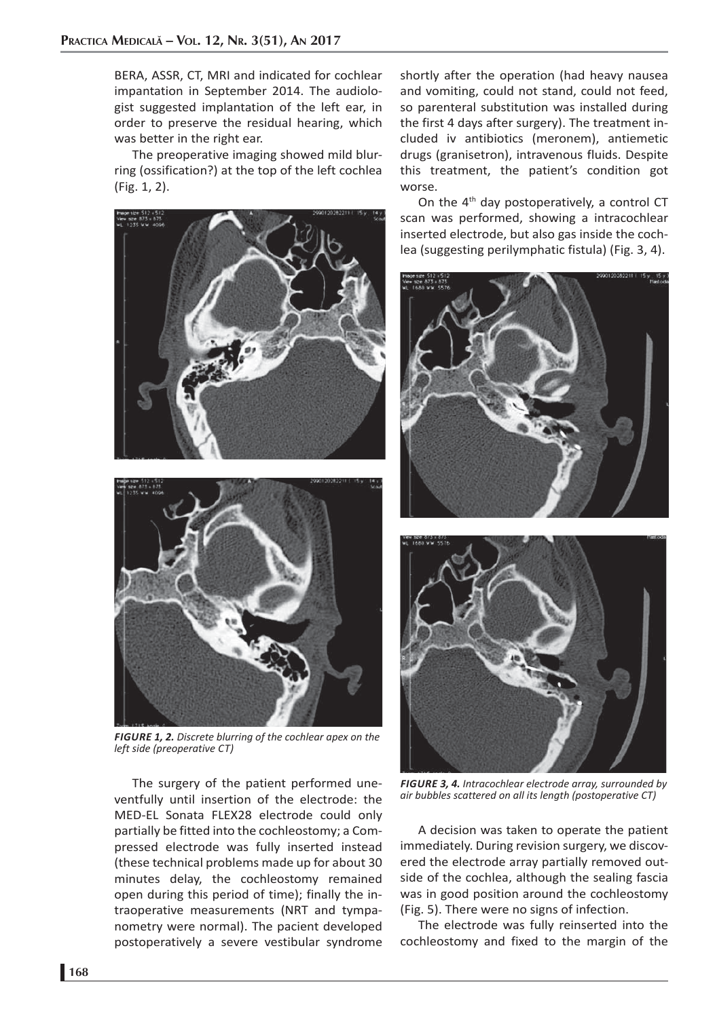BERA, ASSR, CT, MRI and indicated for cochlear impantation in September 2014. The audiologist suggested implantation of the left ear, in order to preserve the residual hearing, which was better in the right ear.

The preoperative imaging showed mild blurring (ossification?) at the top of the left cochlea (Fig. 1, 2).





*FIGURE 1, 2. Discrete blurring of the cochlear apex on the left side (preoperative CT)*

The surgery of the patient performed uneventfully until insertion of the electrode: the MED-EL Sonata FLEX28 electrode could only partially be fitted into the cochleostomy; a Compressed electrode was fully inserted instead (these technical problems made up for about 30 minutes delay, the cochleostomy remained open during this period of time); finally the intraoperative measurements (NRT and tympanometry were normal). The pacient developed postoperatively a severe vestibular syndrome

shortly after the operation (had heavy nausea and vomiting, could not stand, could not feed, so parenteral substitution was installed during the first 4 days after surgery). The treatment included iv antibiotics (meronem), antiemetic drugs (granisetron), intravenous fluids. Despite this treatment, the patient's condition got worse.

On the  $4<sup>th</sup>$  day postoperatively, a control CT scan was performed, showing a intracochlear inserted electrode, but also gas inside the cochlea (suggesting perilymphatic fistula) (Fig. 3, 4).





*FIGURE 3, 4. Intracochlear electrode array, surrounded by air bubbles scattered on all its length (postoperative CT)*

A decision was taken to operate the patient immediately. During revision surgery, we discovered the electrode array partially removed outside of the cochlea, although the sealing fascia was in good position around the cochleostomy (Fig. 5). There were no signs of infection.

The electrode was fully reinserted into the cochleostomy and fixed to the margin of the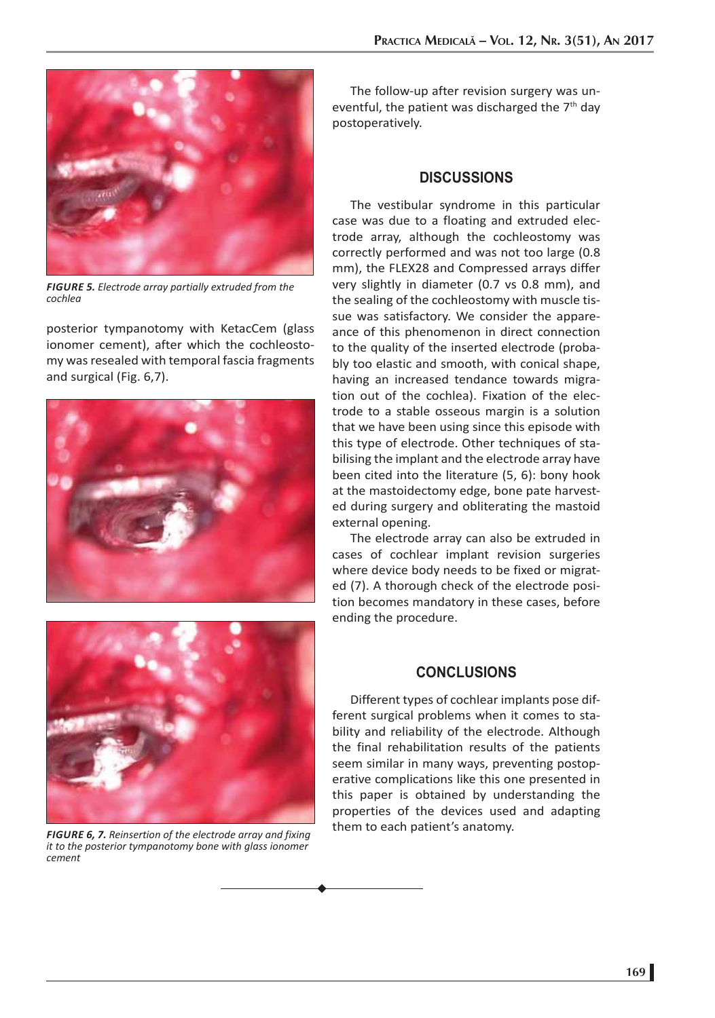

*FIGURE 5. Electrode array partially extruded from the cochlea*

posterior tympanotomy with KetacCem (glass ionomer cement), after which the cochleostomy was resealed with temporal fascia fragments and surgical (Fig. 6,7).





*FIGURE 6, 7. Reinsertion of the electrode array and fixing it to the posterior tympanotomy bone with glass ionomer cement*

The follow-up after revision surgery was uneventful, the patient was discharged the  $7<sup>th</sup>$  day postoperatively.

# **DISCUSSIONS**

The vestibular syndrome in this particular case was due to a floating and extruded electrode array, although the cochleostomy was correctly performed and was not too large (0.8 mm), the FLEX28 and Compressed arrays differ very slightly in diameter (0.7 vs 0.8 mm), and the sealing of the cochleostomy with muscle tissue was satisfactory. We consider the appareance of this phenomenon in direct connection to the quality of the inserted electrode (probably too elastic and smooth, with conical shape, having an increased tendance towards migration out of the cochlea). Fixation of the electrode to a stable osseous margin is a solution that we have been using since this episode with this type of electrode. Other techniques of stabilising the implant and the electrode array have been cited into the literature (5, 6): bony hook at the mastoidectomy edge, bone pate harvested during surgery and obliterating the mastoid external opening.

The electrode array can also be extruded in cases of cochlear implant revision surgeries where device body needs to be fixed or migrated (7). A thorough check of the electrode position becomes mandatory in these cases, before ending the procedure.

# **CONCLUSIONS**

Different types of cochlear implants pose different surgical problems when it comes to stability and reliability of the electrode. Although the final rehabilitation results of the patients seem similar in many ways, preventing postoperative complications like this one presented in this paper is obtained by understanding the properties of the devices used and adapting them to each patient's anatomy.